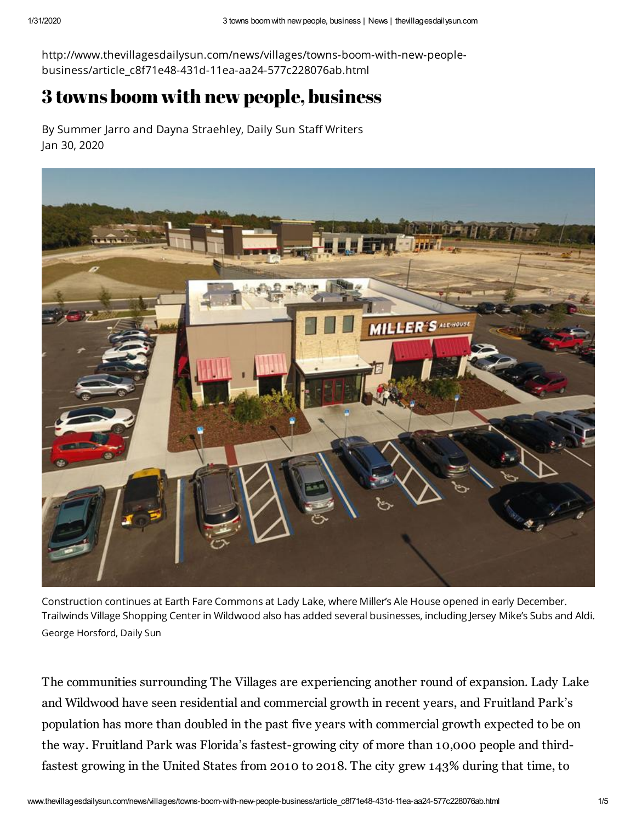http://www.thevillagesdailysun.com/news/villages/towns-boom-with-new-peoplebusiness/article\_c8f71e48-431d-11ea-aa24-577c228076ab.html

## 3 towns boom with new people, business

By Summer Jarro and Dayna Straehley, Daily Sun Staff Writers Jan 30, 2020



Construction continues at Earth Fare Commons at Lady Lake, where Miller's Ale House opened in early December. Trailwinds Village Shopping Center in Wildwood also has added several businesses, including Jersey Mike's Subs and Aldi. George Horsford, Daily Sun

The communities surrounding The Villages are experiencing another round of expansion. Lady Lake and Wildwood have seen residential and commercial growth in recent years, and Fruitland Park's population has more than doubled in the past five years with commercial growth expected to be on the way. Fruitland Park was Florida's fastest-growing city of more than 10,000 people and thirdfastest growing in the United States from 2010 to 2018. The city grew 143% during that time, to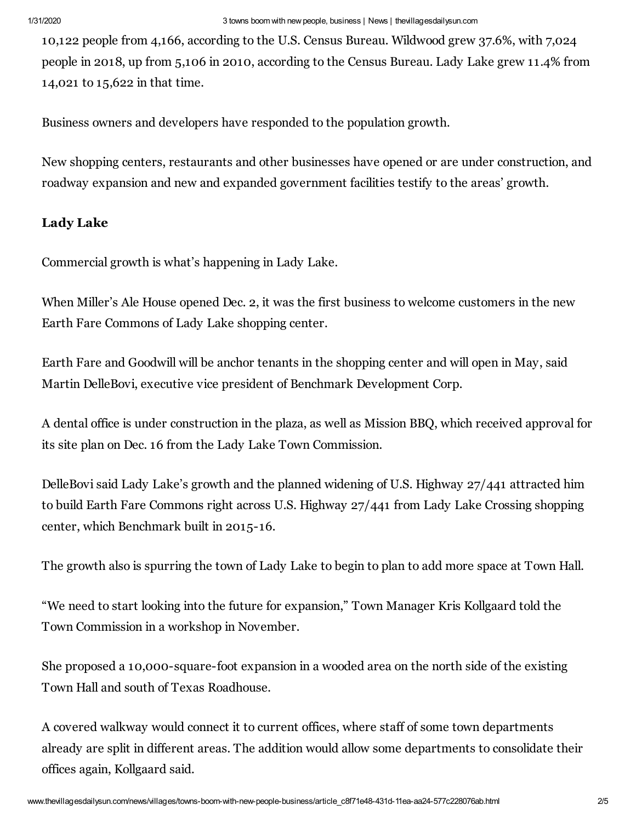10,122 people from 4,166, according to the U.S. Census Bureau. Wildwood grew 37.6%, with 7,024 people in 2018, up from 5,106 in 2010, according to the Census Bureau. Lady Lake grew 11.4% from 14,021 to 15,622 in that time.

Business owners and developers have responded to the population growth.

New shopping centers, restaurants and other businesses have opened or are under construction, and roadway expansion and new and expanded government facilities testify to the areas' growth.

## **Lady Lake**

Commercial growth is what's happening in Lady Lake.

When Miller's Ale House opened Dec. 2, it was the first business to welcome customers in the new Earth Fare Commons of Lady Lake shopping center.

Earth Fare and Goodwill will be anchor tenants in the shopping center and will open in May, said Martin DelleBovi, executive vice president of Benchmark Development Corp.

A dental office is under construction in the plaza, as well as Mission BBQ, which received approval for its site plan on Dec. 16 from the Lady Lake Town Commission.

DelleBovi said Lady Lake's growth and the planned widening of U.S. Highway 27/441 attracted him to build Earth Fare Commons right across U.S. Highway 27/441 from Lady Lake Crossing shopping center, which Benchmark built in 2015-16.

The growth also is spurring the town of Lady Lake to begin to plan to add more space at Town Hall.

"We need to start looking into the future for expansion," Town Manager Kris Kollgaard told the Town Commission in a workshop in November.

She proposed a 10,000-square-foot expansion in a wooded area on the north side of the existing Town Hall and south of Texas Roadhouse.

A covered walkway would connect it to current offices, where staff of some town departments already are split in different areas. The addition would allow some departments to consolidate their offices again, Kollgaard said.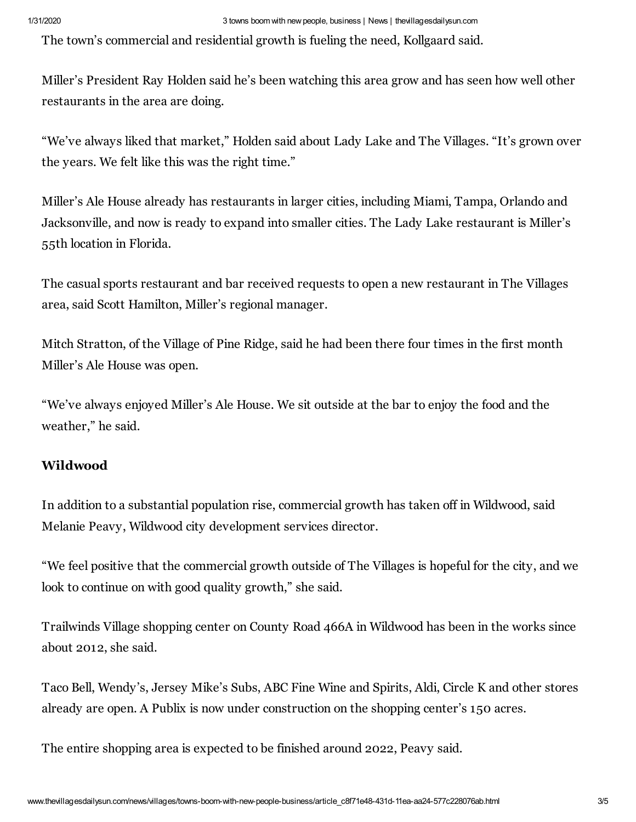The town's commercial and residential growth is fueling the need, Kollgaard said.

Miller's President Ray Holden said he's been watching this area grow and has seen how well other restaurants in the area are doing.

"We've always liked that market," Holden said about Lady Lake and The Villages. "It's grown over the years. We felt like this was the right time."

Miller's Ale House already has restaurants in larger cities, including Miami, Tampa, Orlando and Jacksonville, and now is ready to expand into smaller cities. The Lady Lake restaurant is Miller's 55th location in Florida.

The casual sports restaurant and bar received requests to open a new restaurant in The Villages area, said Scott Hamilton, Miller's regional manager.

Mitch Stratton, of the Village of Pine Ridge, said he had been there four times in the first month Miller's Ale House was open.

"We've always enjoyed Miller's Ale House. We sit outside at the bar to enjoy the food and the weather," he said.

## **Wildwood**

In addition to a substantial population rise, commercial growth has taken off in Wildwood, said Melanie Peavy, Wildwood city development services director.

"We feel positive that the commercial growth outside of The Villages is hopeful for the city, and we look to continue on with good quality growth," she said.

Trailwinds Village shopping center on County Road 466A in Wildwood has been in the works since about 2012, she said.

Taco Bell, Wendy's, Jersey Mike's Subs, ABC Fine Wine and Spirits, Aldi, Circle K and other stores already are open. A Publix is now under construction on the shopping center's 150 acres.

The entire shopping area is expected to be finished around 2022, Peavy said.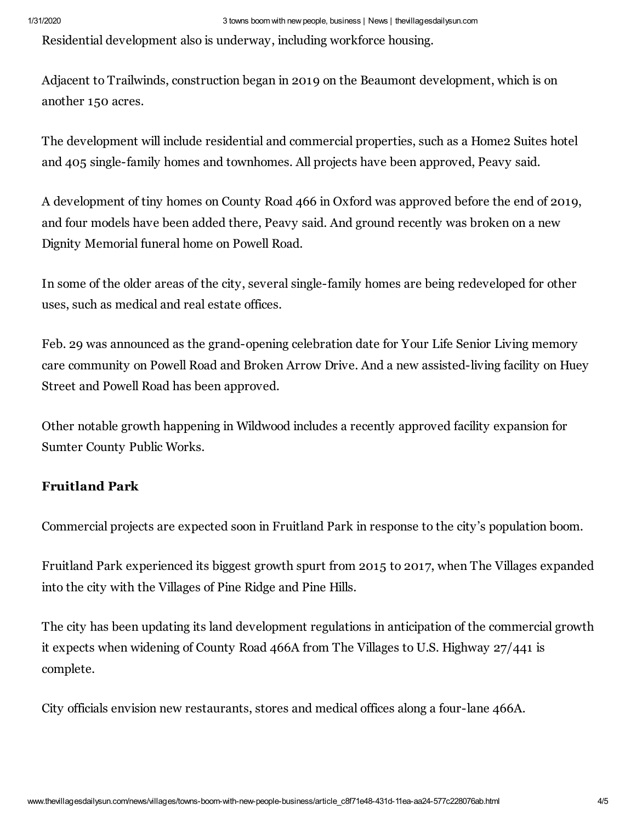Residential development also is underway, including workforce housing.

Adjacent to Trailwinds, construction began in 2019 on the Beaumont development, which is on another 150 acres.

The development will include residential and commercial properties, such as a Home2 Suites hotel and 405 single-family homes and townhomes. All projects have been approved, Peavy said.

A development of tiny homes on County Road 466 in Oxford was approved before the end of 2019, and four models have been added there, Peavy said. And ground recently was broken on a new Dignity Memorial funeral home on Powell Road.

In some of the older areas of the city, several single-family homes are being redeveloped for other uses, such as medical and real estate offices.

Feb. 29 was announced as the grand-opening celebration date for Your Life Senior Living memory care community on Powell Road and Broken Arrow Drive. And a new assisted-living facility on Huey Street and Powell Road has been approved.

Other notable growth happening in Wildwood includes a recently approved facility expansion for Sumter County Public Works.

## **Fruitland Park**

Commercial projects are expected soon in Fruitland Park in response to the city's population boom.

Fruitland Park experienced its biggest growth spurt from 2015 to 2017, when The Villages expanded into the city with the Villages of Pine Ridge and Pine Hills.

The city has been updating its land development regulations in anticipation of the commercial growth it expects when widening of County Road 466A from The Villages to U.S. Highway 27/441 is complete.

City officials envision new restaurants, stores and medical offices along a four-lane 466A.